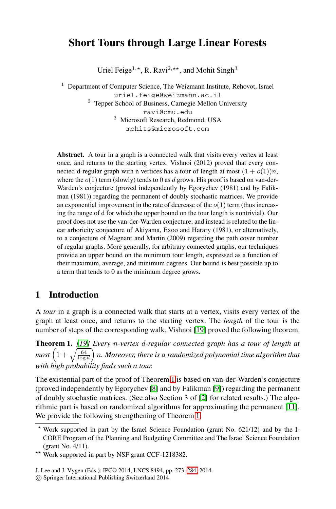# **Short Tours through Large Linear Forests**

Uriel Feige<sup>1,\*</sup>, R. Ravi<sup>2,\*\*</sup>, and Mohit Singh<sup>3</sup>

<sup>1</sup> Department of Computer Science, The Weizmann Institute, Rehovot, Israel uriel.feige@weizmann.ac.il <sup>2</sup> Tepper School of Business, Carnegie Mellon University ravi@cmu.edu <sup>3</sup> Microsoft Research, Redmond, USA mohits@microsoft.com

<span id="page-0-0"></span>**Abstract.** A tour in a graph is a connected walk that visits every vertex at least once, and returns to the starting vertex. Vishnoi (2012) proved that every connected d-regular graph with n vertices has a tour of length at most  $(1 + o(1))n$ , where the  $o(1)$  term (slowly) tends to 0 as  $d$  grows. His proof is based on van-der-Warden's conjecture (proved independently by Egorychev (1981) and by Falikman (1981)) regarding the permanent of doubly stochastic matrices. We provide an exponential improvement in the rate of decrease of the *o*(1) term (thus increasing the range of d for which the upper bound on the tour length is nontrivial). Our proof does not use the van-der-Warden conjecture, and instead is related to the linear arboricity conjecture of Akiyama, Exoo and Harary (1981), or alternatively, to a conjecture of Magnant and Martin (2009) regarding the path cover number of regular graphs. More generally, for arbitrary connected graphs, our techniques provide an upper bound on the minimum tour length, expressed as a function of their maximum, average, an[d](#page-11-0) [mi](#page-11-0)nimum degrees. Our bound is best possible up to a term that tends to 0 as the minimum degree grows.

## <span id="page-0-1"></span>**1 Introduction**

A *tour* in a graph is a c[onn](#page-0-0)ected walk that starts at a vertex, visits every vertex of the graph at least on[ce,](#page-11-1) and returns to th[e](#page-11-2) [s](#page-11-2)tarting vertex. The *length* of the tour is the number of steps of the correspond[ing](#page-10-0) walk. Vishnoi [19] proved the following theorem.

**Theorem 1.** *[19] Every* n*-vert[ex](#page-0-0)* d*-regular connected graph [has](#page-11-3) a tour of length at*  $m$ ost  $\left(1+\sqrt{\frac{64}{\log d}}\right)$  *n. Moreover, there is a randomized polynomial time algorithm that with high probability finds such a tour.*

The existential part of the proof of Theorem 1 is based on van-der-Warden's conjecture (proved independently by Egorychev [8] and by Falikman [9]) regarding the permanent of doubly stochastic matrices. [\(Se](#page-11-4)e also Section 3 of [2] for related results.) The algorithmic part is based on randomized algorithms for approximating the permanent [11]. We provide the following strengthening of Theorem 1.

 $\star$  Work supported in part by the Israel Science Foundation (grant No. 621/12) and by the I-CORE Program of the Planning and Budgeting Committee and The Israel Science Foundation (grant No. 4/11).

<sup>\*\*</sup> Work supported in part by NSF grant CCF-1218382.

J. Lee and J. Vygen (Eds.): IPCO 2014, LNCS 8494, pp. 273–284, 2014.

<sup>-</sup>c Springer International Publishing Switzerland 2014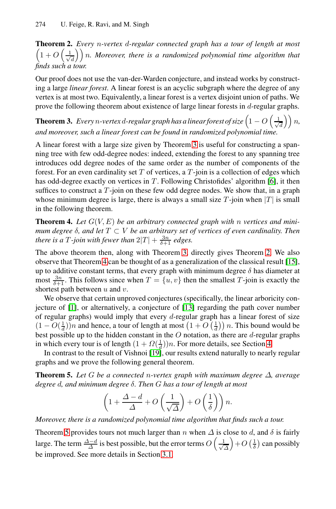<span id="page-1-0"></span>**Theorem 2.** *Every* n*-vertex* d*-regular connected graph has a tour of length at most*  $\left(1+O\left(\frac{1}{\sqrt{d}}\right)\right)n$ . Moreover, there is a randomized polynomial time algorithm that *finds such a tour.*

<span id="page-1-1"></span>Our proof does not use the van-[de](#page-1-0)r-Warden conjecture, and instead works by constructing a large *linear forest*. A linear forest is an acyclic subgraph where the degree of any vertex is at most two. Equivalently, a linear forest is a vertex disjoint union of paths. We prove the following theorem about existence of large lin[ear](#page-11-5) forests in d-regular graphs.

**Theorem 3.** Every n-vertex d-regular graph has a linear forest of size  $\left(1 - O\left(\frac{1}{\sqrt{d}}\right)\right)n$ , *and moreover, such a linear forest can be found in randomized polynomial time.*

A linear forest with a large size given by Theorem 3 is useful for constructing a spanning tree with few odd-degree nodes: indeed, extending the forest to any spanning tree introduces odd degree nodes of the same order as the number of components of the forest. For an even cardinality set  $T$  of vertices, a  $T$ -join is a collection of edges which has odd-degree exactly on v[ert](#page-1-0)ices in  $T$ . Following Chr[ist](#page-0-1)ofides' algorithm [6], it then su[ffi](#page-1-1)ces to construct a T-join on these few odd degree nodes. [We s](#page-11-6)how that, in a graph whose minimum degree is large, there is always a small size  $T$ -join when  $|T|$  is small in the following theorem.

<span id="page-1-2"></span>**Theorem 4.** *Let* <sup>G</sup>(V,E) *be an arbitrary connected graph with* <sup>n</sup> *vertices and minimum degree* δ*, and let* T ⊂ V *be an arbitrary set of vertices of even cardinality. Then there is a T-join with fewer t[han](#page-11-7)*  $2|T| + \frac{3n}{\delta+1}$  *edges.* 

The above theorem then, along with Theorem 3, directly gives Theorem 2. We also observe that Theorem 4 can be thought of as a generalization of the classical result [15], up to additive constant terms, that every graph with min[im](#page-10-1)um degree  $\delta$  has diameter at most  $\frac{3n}{\delta+1}$ . This fo[llow](#page-11-0)s since when  $T = \{u, v\}$  then the smallest T-join is exactly the shortest path between u and v shortest path between  $u$  and  $v$ .

We observe that certain unproved conjectures (specifically, the linear arboricity conjecture of [1], or alternatively, a conjecture of [13] regarding the path cover number of regular graphs) would imply that every  $d$ -regular graph has a linear forest of size  $(1 - O(\frac{1}{d}))n$  and hence, a tour of length at most  $(1 + O(\frac{1}{d}))n$ . This bound would be<br>hest possible up to the hidden constant in the O notation, as there are d-regular graphs best possible up to the hidden constant in the  $O$  notation, as there are  $d$ -regular graphs in which every tour is of length  $(1 + \Omega(\frac{1}{d}))n$ . For more details, see Section 4.<br>In contrast to the result of Vishnoi [19] our results extend naturally to nearl

In contrast to the result of Vishnoi [19], our results extend naturally to nearly regular graphs and we prove the following general theorem.

**Theorem 5.** *Let* G *be a connected* n*-vertex graph with maximum degree* Δ*, average degree* d*, and minimu[m de](#page-9-0)gree* δ*. Then* G *has a tour of length at most*

$$
\left(1+\frac{\Delta-d}{\Delta}+O\left(\frac{1}{\sqrt{\Delta}}\right)+O\left(\frac{1}{\delta}\right)\right)n.
$$

*Moreover, there is a randomized polynomial time algorithm that finds such a tour.*

Theorem 5 provides tours not much larger than n when  $\Delta$  is close to d, and  $\delta$  is fairly large. The term  $\frac{\Delta-d}{\Delta}$  is best possible, but the error terms  $O\left(\frac{1}{\sqrt{\Delta}}\right) + O\left(\frac{1}{\delta}\right)$  can possibly be improved. See more details in Section 3.1.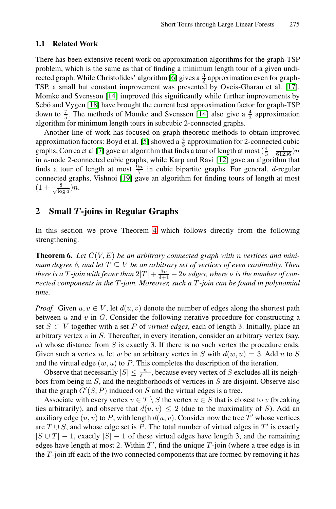### **1.1 Related Work**

There has been extensive recent work on approximation algorithms for the graph-TSP problem, whic[h i](#page-11-8)s the same as that of finding a minimum length tour of a given undi[rec](#page-11-9)ted graph. While Christofides' algorithm [6] gives a  $\frac{3}{2}$  approximation even for graph-<br>TSP a small but constant improvement was presented by Oveis-Gharan et al. [17] TSP, a small but constant improvemen[t w](#page-11-10)as presented by Oveis-Gharan et al. [17]. Mömke and Svensson [14] improved this significantly while further improvements by Sebö an[d Vy](#page-11-0)gen [18] have brought the current best approximation factor for graph-TSP down to  $\frac{7}{5}$ . The methods of Mömke and Svensson [14] also give a  $\frac{4}{3}$  approximation algorithm for minimum length tours in subcubic 2-connected graphs algorithm for minimum length tours in subcubic 2-connected graphs.

Another line of work has focused on graph theoretic methods to obtain improved approximation factors: Boyd et al. [5] showed a  $\frac{4}{3}$  approximation for 2-connected cubic<br>graphs: Correa et al [7] gave an algorithm that finds a tour of length at most  $(\frac{4}{3}, \frac{1}{3}, \frac{1}{3})$ graphs; Correa et al [7] gave an algorithm that finds a tour of length at most  $(\frac{4}{3} - \frac{1}{61236})n$ <br>in n-node 2-connected cubic graphs, while Karn and Ravi [12] gave an algorithm that in n-node 2-conne[ct](#page-1-1)ed cubic graphs, while Karp and Ravi [12] gave an algorithm that finds a tour of length at most  $\frac{9n}{7}$  in cubic bipartite graphs. For general, *d*-regular connected graphs. Vishnoi [19] gave an algorithm for finding tours of length at most connected graphs, Vishnoi [19] gave an algorithm for finding tours of length at most  $(1+\frac{8}{\sqrt{\log d}})n$ .

## **2 Small** *T***-joins in Regular Graphs**

In this section we prove Theorem 4 which follows directly from the following strengthening.

**Theorem 6.** Let  $G(V, E)$  be an arbitrary connected graph with n vertices and mini*mum degree* δ, and let  $T ⊆ V$  *be an arbitrary set of vertices of even cardinality. Then there is a*  $T$ -join with fewer than  $2|T| + \frac{3n}{\delta+1} - 2\nu$  edges, where  $\nu$  is the number of con-<br>pected components in the  $T$ -join. Moreover, such a  $T$ -join can be found in polynomial *nected components in the* T *-join. Moreover, such a* T *-join can be found in polynomial time.*

*Proof.* Given  $u, v \in V$ , let  $d(u, v)$  denote the number of edges along the shortest path between  $u$  and  $v$  in  $G$ . Consider the following iterative procedure for constructing a set  $S \subset V$  together with a set P of *virtual edges*, each of length 3. Initially, place an arbitrary vertex  $v$  in  $S$ . Thereafter, in every iteration, consider an arbitrary vertex (say,  $u$ ) whose distance from  $S$  is exactly 3. If there is no such vertex the procedure ends. Given such a vertex u, let w be an arbitrary vertex in S with  $d(w, u) = 3$ . Add u to S and the virtual edge  $(w, u)$  to P. This completes the description of the iteration.

Observe that necessarily  $|S| \leq \frac{n}{\delta+1}$ , because every vertex of S excludes all its neigh-<br>s from being in S, and the neighborhoods of vertices in S are disjoint. Observe also bors from being in S, and the neighborhoods of vertices in S are disjoint. Observe also that the graph  $G'(S, P)$  induced on S and the virtual edges is a tree.<br>Associate with every vertex  $v \in T \setminus S$  the vertex  $v \in S$  that is cle

Associate with every vertex  $v \in T \setminus S$  the vertex  $u \in S$  that is closest to v (breaking ties arbitrarily), and observe that  $d(u, v) \leq 2$  (due to the maximality of S). Add an auxiliary edge  $(u, v)$  to P, with length  $d(u, v)$ . Consider now the tree T' whose vertices are  $T \cup S$ , and whose edge set is P. The total number of virtual edges in T' is exactly  $|S \cup T| - 1$ , exactly  $|S| - 1$  of these virtual edges have length 3, and the remaining edges have length at most 2. Within  $T'$ , find the unique  $T$ -join (where a tree edge is in the T-join iff each of the two connected components that are formed by removing it has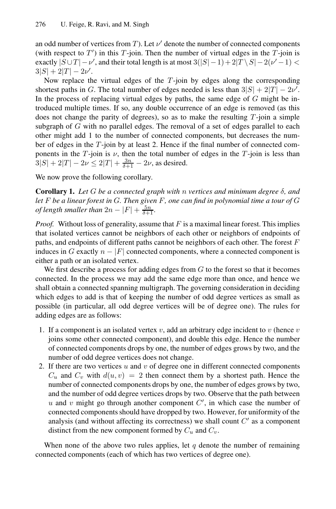an odd number of vertices from T). Let  $\nu'$  denote the number of connected components (with respect to  $T'$ ) in this  $T$ -join. Then the number of virtual edges in the  $T$ -join is exactly  $|S \cup T| - \nu'$ , and their total length is at most  $3(|S| - 1) + 2|T \setminus S| - 2(\nu' - 1) <$ <br> $3|S| + 2|T| - 2\nu'$  $3|S| + 2|T| - 2\nu'.$ <br>Now replace the

<span id="page-3-0"></span>Now replace the virtual edges of the  $T$ -join by edges along the corresponding shortest paths in G. The total number of edges needed is less than  $3|S| + 2|T| - 2\nu'$ .<br>In the process of replacing virtual edges by paths, the same edge of G might be in-In the process of replacing virtual edges by paths, the same edge of  $G$  might be introduced multiple times. If so, any double occurrence of an edge is removed (as this does not change the parity of degrees), so as to make the resulting  $T$ -join a simple subgraph of  $G$  with no parallel edges. The removal of a set of edges parallel to each other might add 1 to the number of connected components, but decreases the number of edges in the T-join by at least 2. Hence if the final number of connected components in the T-join is  $\nu$ , then the total number of edges in the T-join is less than  $3|S| + 2|T| - 2\nu \le 2|T| + \frac{3n}{\delta+1} - 2\nu$ , as desired.

We now prove the following corollary.

**Corollary 1.** *Let* G *be a connected graph with* n *vertices and minimum degree* δ*, and let* F *be a linear forest in* G*. Then given* F*, one can find in polynomial time a tour of* G *of length smaller than*  $2n - |F| + \frac{5n}{\delta + 1}$ .

*Proof.* Without loss of generality, assume that  $F$  is a maximal linear forest. This implies that isolated vertices cannot be neighbors of each other or neighbors of endpoints of paths, and endpoints of different paths cannot be neighbors of each other. The forest  $F$ induces in G exactly  $n - |F|$  connected components, where a connected component is either a path or an isolated vertex.

We first describe a process for adding edges from  $G$  to the forest so that it becomes connected. In the process we may add the same edge more than once, and hence we shall obtain a connected spanning multigraph. The governing consideration in deciding which edges to add is that of keeping the number of odd degree vertices as small as possible (in particular, all odd degree vertices will be of degree one). The rules for adding edges are as follows:

- 1. If a component is an isolated vertex  $v$ , add an arbitrary edge incident to  $v$  (hence  $v$ joins some other connected component), and double this edge. Hence the number of connected components drops by one, the number of edges grows by two, and the number of odd degree vertices does not change.
- 2. If there are two vertices  $u$  and  $v$  of degree one in different connected components  $C_u$  and  $C_v$  with  $d(u, v) = 2$  then connect them by a shortest path. Hence the number of connected components drops by one, the number of edges grows by two, and the number of odd degree vertices drops by two. Observe that the path between u and v might go through another component  $C'$ , in which case the number of connected components should have dropped by two. However, for uniformity of the analysis (and without affecting its correctness) we shall count  $C'$  as a component distinct from the new component formed by  $C_u$  and  $C_v$ .

When none of the above two rules applies, let  $q$  denote the number of remaining connected components (each of which has two vertices of degree one).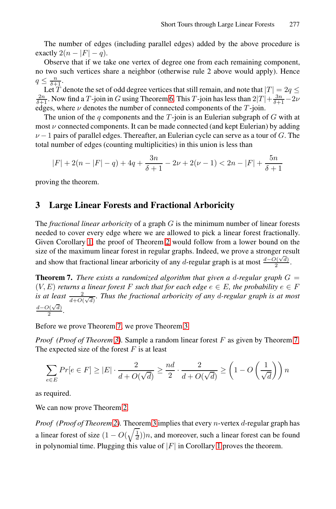The number of edges (including parallel edges) added by the above procedure is exactly  $2(n - |F| - q)$ .

Observe that if we take one vertex of degree one from each remaining component, no two such vertices share a neighbor (otherwise rule 2 above would apply). Hence  $q \leq \frac{n}{\delta+1}.$ <br>Let T.

Let T denote the set of odd degree vertices that still remain, and note that  $|T| = 2q \le \frac{2n}{\delta+1}$ . Now find a T-join in G using Theorem 6. This T-join has less than  $2|T| + \frac{3n}{\delta+1} - 2\nu$ <br>edges where *y* denotes the nu edges, where  $\nu$  denotes the number of connected components of the  $T$ -join.

<span id="page-4-0"></span>The union of the  $q$  components and the  $T$ -join is an Eulerian subgraph of  $G$  with at most  $\nu$  connected components. It can be made connected (and kept Eulerian) by adding  $\nu-1$  pairs of parallel edges. Thereafter, an Eulerian cycle can serve as a tour of G. The total number of edges (counting multiplicities) in this union is less than

$$
|F| + 2(n - |F| - q) + 4q + \frac{3n}{\delta + 1} - 2\nu + 2(\nu - 1) < 2n - |F| + \frac{5n}{\delta + 1}
$$

proving the theorem.

### **3 Large Linear Forests and Fractional Arboricity**

The *fractional linear arboricity* of a graph G is the minimum number of linear forests needed to cover every edge where we are allowed to pick a linear forest fractionally. Given Corollary 1, the proof of Theorem 2 would follow from a lower bound on the size of [th](#page-4-0)e maximum linear f[or](#page-1-0)est in regular graphs. Indeed, we prove a stronger result and show that fractional linear arboricity of any d-regular graph is at most  $\frac{d-O(\sqrt{d})}{2}$ .

**Theorem 7.** *There exists a randomized algorithm that given a d-regular graph*  $G =$  $(V, E)$  *returns a linear forest* F such that for each edge  $e \in E$ , the probability  $e \in F$ *is at least*  $\frac{2}{d+O(\sqrt{d})}$ . Thus the fractional arboricity of any d-regular graph is at most  $\frac{d-O(\sqrt{d})}{2}.$ 

Before we prove Theorem 7, we prove Theorem 3.

*Proof ([Pro](#page-0-1)of of Theorem 3).* Sample a random linear forest F as given by Theorem 7. The e[xp](#page-0-1)ected size [of](#page-1-0) the forest  $F$  is at least

$$
\sum_{e \in E} Pr[e \in F] \ge |E| \cdot \frac{2}{d + O(\sqrt{d})} \ge \frac{nd}{2} \cdot \frac{2}{d + O(\sqrt{d})} \ge \left(1 - O\left(\frac{1}{\sqrt{d}}\right)\right)n
$$

as required.

We can now prove Theorem 2.

*Proof (Proof of Theorem 2).* Theorem 3 implies that every n-vertex d-regular graph has a linear forest of size  $(1 - O(\sqrt{\frac{1}{d}}))n$ , and moreover, such a linear forest can be found in polynomial time. Plugging this value of  $|F|$  in Corollary 1 proves the theorem.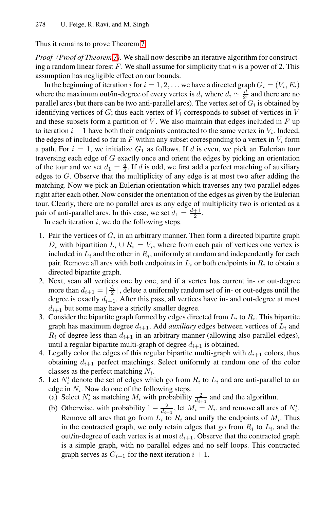Thus it remains to prove Theorem 7.

*Proof (Proof of Theorem 7).* We shall now describe an iterative algorithm for constructing a random linear forest  $F$ . We shall assume for simplicity that  $n$  is a power of 2. This assumption has negligible effect on our bounds.

<span id="page-5-0"></span>In the beginning of iteration i for  $i = 1, 2, \ldots$  we have a directed graph  $G_i = (V_i, E_i)$ where the maximum out/in-degree of every vertex is  $d_i$  where  $d_i \simeq \frac{d}{2^i}$  and there are no<br>parallel arcs (but there can be two anti-parallel arcs). The vertex set of  $G_i$  is obtained by parallel arcs (but there can be two anti-parallel arcs). The vertex set of  $G_i$  is obtained by identifying vertices of  $G$ ; thus each vertex of  $V_i$  corresponds to subset of vertices in V and these subsets form a partition of  $V$ . We also maintain that edges included in  $F$  up to iteration  $i - 1$  have both their endpoints contracted to the same vertex in  $V_i$ . Indeed, the edges of included so far in  $F$  within any subset corresponding to a vertex in  $V_i$  form a path. For  $i = 1$ , we initialize  $G_1$  as follows. If d is even, we pick an Eulerian tour traversing each edge of G exactly once and orient the edges by picking an orientation of the tour and we set  $d_1 = \frac{d}{2}$ . If d is odd, we first add a perfect matching of auxiliary<br>edges to G. Observe that the multiplicity of any edge is at most two after adding the edges to G. Observe that the multiplicity of any edge is at most two after adding the matching. Now we pick an Eulerian orientation which traverses any two parallel edges right after each other. Now consider the orientation of the edges as given by the Eulerian tour. Clearly, there are no parallel arcs as any edge of multiplicity two is oriented as a pair of anti-parallel arcs. In this case, we set  $d_1 = \frac{d+1}{2}$ .<br>In each iteration *i*, we do the following steps

In each iteration  $i$ , we do the following steps.

- 1. Pair the vertices of  $G_i$  in an arbitrary manner. Then form a directed bipartite graph  $D_i$  with bipartition  $L_i \cup R_i = V_i$ , where from each pair of vertices one vertex is included in  $L_i$  and the other in  $R_i$ , uniformly at random and independently for each pair. Remove all arcs with both endpoints in  $L_i$  or both endpoints in  $R_i$  to obtain a directed bipartite graph.
- 2. Next, scan all vertices one by one, and if a vertex has current in- or out-degree more than  $d_{i+1} = \lceil \frac{d_i}{2} \rceil$ , delete a uniformly random set of in- or out-edges until the degree is exactly  $d_{i+1}$ . After this pass, all vertices have in- and out-degree at most degree is exactly  $d_{i+1}$ . After this pass, all vertices have in- and out-degree at most  $d_{i+1}$  but some may have a strictly smaller degree.
- 3. Consider the bipartite graph formed by edges directed from  $L_i$  to  $R_i$ . This bipartite graph has maximum degree  $d_{i+1}$ . Add *auxiliary* edges between vertices of  $L_i$  and  $R_i$  of degree less than  $d_{i+1}$  in an arbitrary manner (allowing also parallel edges), until a regular bipartite multi-graph of degree  $d_{i+1}$  is obtained.
- 4. Legally color the edges of this regular bipartite multi-graph with  $d_{i+1}$  colors, thus obtaining  $d_{i+1}$  perfect matchings. Select uniformly at random one of the color classes as the perfect matching  $N_i$ .
- 5. Let  $N_i'$  denote the set of edges which go from  $R_i$  to  $L_i$  and are anti-parallel to an edge in  $N_i$ . Now do one of the following steps.
	- (a) Select  $N'_i$  as matching  $M_i$  with probability  $\frac{2}{d_{i+1}}$  and end the algorithm.
	- (b) Otherwise, with probability  $1 \frac{2}{d_{i+1}}$ , let  $M_i = N_i$ , and remove all arcs of  $N'_i$ .<br>Pamous all arcs that go from  $I_i$  to  $P_i$  and unify the and points of  $M_i$ . Thus Remove all arcs that go from  $L_i$  to  $R_i$  and unify the endpoints of  $M_i$ . Thus in the contracted graph, we only retain edges that go from  $R_i$  to  $L_i$ , and the out/in-degree of each vertex is at most  $d_{i+1}$ . Observe that the contracted graph is a simple graph, with no parallel edges and no self loops. This contracted graph serves as  $G_{i+1}$  for the next iteration  $i + 1$ .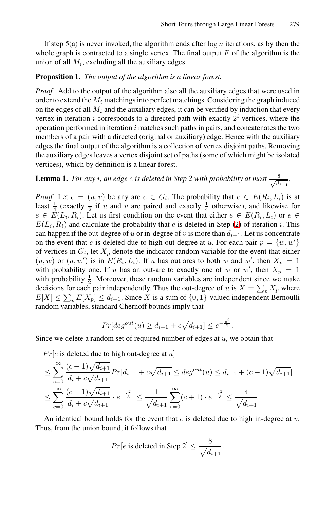If step 5(a) is never invoked, the algorithm ends after  $\log n$  iterations, as by then the whole graph is contracted to a single vertex. The final output  $F$  of the algorithm is the union of all  $M_i$ , excluding all the auxiliary edges.

### **Proposition 1.** *The output of the algorithm is a linear forest.*

*Proof.* Add to the output of the algorithm also all the auxiliary edges that were used in order to extend the  $M_i$  matchings into perfect matchings. Considering the graph induced on the edges of all  $M_i$  and the auxiliary edges, it can be verified by induction that every vertex in iteration i corresponds to a directed path with exactly  $2<sup>i</sup>$  vertices, where the operation performed in iteration  $i$  matches such paths in pairs, and concatenates the two members of a pair with a directed (original or auxiliary) edge. Hence with the auxiliary edges the final output of the algorithm is a collection of vertex disjoint paths. Removing the auxiliary edges leaves a vertex disjoint set [of](#page-5-0) paths (some of which might be isolated vertices), which by definition is a linear forest.

**Lemma 1.** For any *i*, an edge  $e$  is deleted in Step 2 with probability at most  $\frac{8}{\sqrt{d_{i+1}}}$ .

*Proof.* Let  $e = (u, v)$  be any arc  $e \in G_i$ . The probability that  $e \in E(R_i, L_i)$  is at least  $\frac{1}{4}$  (exactly  $\frac{1}{2}$  if u and v are paired and exactly  $\frac{1}{4}$  otherwise), and likewise for  $e \in E(L_i, R_i)$ . Let us first condition on the event that either  $e \in E(R_i, L_i)$  or  $e \in E(L_i, R_i)$  $E(L_i, R_i)$  and calculate the probability that e is deleted in Step (2) of iteration i. This can happen if the out-degree of u or in-degree of v is more than  $d_{i+1}$ . Let us concentrate on the event that e is deleted due to high out-degree at u. For each pair  $p = \{w, w'\}$ <br>of vertices in  $G$ . let X, denote the indicator random variable for the event that either of vertices in  $G_i$ , let  $X_p$  denote the indicator random variable for the event that either  $(u, w)$  or  $(u, w')$  is in  $E(R_i, L_i)$ . If u has out arcs to both w and w', then  $X_p = 1$  with probability one. If u has an out-arc to exactly one of w or w' then  $X = 1$ with probability one. If u has an out-arc to exactly one of w or w', then  $X_p = 1$ <br>with probability  $\frac{1}{x}$ . Moreover, these random variables are independent since we make with probability  $\frac{1}{2}$ . Moreover, these random variables are independent since we make decisions for each pair independently. Thus the out-degree of u is  $X = \sum_{p} X_p$  where  $E[X] \le \sum_{p} E[X] \le d_{\text{max}}$ . Since X is a sum of  $f(0, 1)$ -valued independent Bernoulli  $E[X] \leq \sum_{p} E[X_{p}] \leq d_{i+1}$ . Since X is a sum of  $\{0, 1\}$ -valued independent Bernoulli<br>random variables, standard Chernoff bounds imply that random variables, standard Chernoff bounds imply that

$$
Pr[deg^{out}(u) \ge d_{i+1} + c\sqrt{d_{i+1}}] \le e^{-\frac{c^2}{3}}.
$$

Since we delete a random set of required number of edges at  $u$ , we obtain that

 $Pr[e]$  is deleted due to high out-degree at u

$$
\leq \sum_{c=0}^{\infty} \frac{(c+1)\sqrt{d_{i+1}}}{d_i + c\sqrt{d_{i+1}}} Pr[d_{i+1} + c\sqrt{d_{i+1}}] \leq deg^{out}(u) \leq d_{i+1} + (c+1)\sqrt{d_{i+1}}]
$$
  

$$
\leq \sum_{c=0}^{\infty} \frac{(c+1)\sqrt{d_{i+1}}}{d_i + c\sqrt{d_{i+1}}} \cdot e^{-\frac{c^2}{3}} \leq \frac{1}{\sqrt{d_{i+1}}} \sum_{c=0}^{\infty} (c+1) \cdot e^{-\frac{c^2}{3}} \leq \frac{4}{\sqrt{d_{i+1}}}
$$

An identical bound holds for the event that  $e$  is deleted due to high in-degree at  $v$ . Thus, from the union bound, it follows that

$$
Pr[e \text{ is deleted in Step 2}] \le \frac{8}{\sqrt{d_{i+1}}}.
$$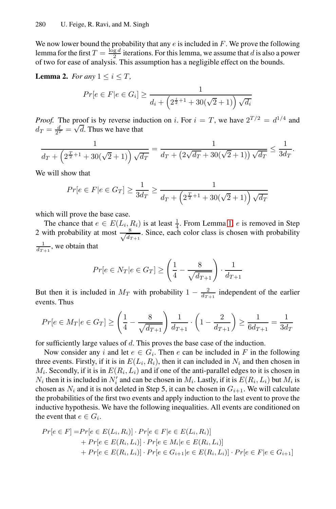We now lower bound the probability that any  $e$  is included in  $F$ . We prove the following lemma for the first  $T = \frac{\log d}{2}$  iterations. For this lemma, we assume that d is also a power of two for ease of analysis. This assumption has a negligible effect on the bounds.

**Lemma 2.** *For any*  $1 \leq i \leq T$ *,* 

$$
Pr[e \in F | e \in G_i] \ge \frac{1}{d_i + (2^{\frac{i}{2} + 1} + 30(\sqrt{2} + 1))\sqrt{d_i}}
$$

*Proof.* The proof is by reverse induction on i. For  $i = T$ , we have  $2^{T/2} = d^{1/4}$  and  $d_T = \frac{d}{2^T} = \sqrt{d}$ . Thus we have that

$$
\frac{1}{d_T + \left(2^{\frac{T}{2}+1} + 30(\sqrt{2}+1)\right)\sqrt{d_T}} = \frac{1}{d_T + \left(2\sqrt{d_T} + 30(\sqrt{2}+1)\right)\sqrt{d_T}} \le \frac{1}{3d_T}.
$$

We will show that

$$
Pr[e \in F | e \in G_T] \ge \frac{1}{3d_T} \ge \frac{1}{d_T + \left(2^{\frac{T}{2} + 1} + 30(\sqrt{2} + 1)\right)\sqrt{d_T}}
$$

which will prove the base case.

The chance that  $e \in E(L_i, R_i)$  is at least  $\frac{1}{4}$ . From Lemma 1, *e* is removed in Step 2 with probability at most  $\frac{8}{\sqrt{d_{T+1}}}$ . Since, each color class is chosen with probability  $\frac{1}{d_{T+1}}$ , we obtain that

$$
Pr[e \in N_T | e \in G_T] \ge \left(\frac{1}{4} - \frac{8}{\sqrt{d_{T+1}}}\right) \cdot \frac{1}{d_{T+1}}
$$

But then it is included in  $M_T$  with probability  $1 - \frac{2}{d_{T+1}}$  independent of the earlier events. Thus

$$
Pr[e \in M_T | e \in G_T] \ge \left(\frac{1}{4} - \frac{8}{\sqrt{d_{T+1}}}\right) \frac{1}{d_{T+1}} \cdot \left(1 - \frac{2}{d_{T+1}}\right) \ge \frac{1}{6d_{T+1}} = \frac{1}{3d_T}
$$

for sufficiently large values of d. This proves the base case of the induction.

Now consider any i and let  $e \in G_i$ . Then e can be included in F in the following three events. Firstly, if it is in  $E(L_i, R_i)$ , then it can included in  $N_i$  and then chosen in  $M_i$ . Secondly, if it is in  $E(R_i, L_i)$  and if one of the anti-parallel edges to it is chosen in  $N_i$  then it is included in  $N'_i$  and can be chosen in  $M_i$ . Lastly, if it is  $E(R_i, L_i)$  but  $M_i$  is<br>chosen as  $N_i$  and it is not deleted in Step 5, it can be chosen in  $G_{i,j}$ . We will calculate chosen as  $N_i$  and it is not deleted in Step 5, it can be chosen in  $G_{i+1}$ . We will calculate the probabilities of the first two events and apply induction to the last event to prove the inductive hypothesis. We have the following inequalities. All events are conditioned on the event that  $e \in G_i$ .

$$
Pr[e \in F] = Pr[e \in E(L_i, R_i)] \cdot Pr[e \in F|e \in E(L_i, R_i)] + Pr[e \in E(R_i, L_i)] \cdot Pr[e \in M_i|e \in E(R_i, L_i)] + Pr[e \in E(R_i, L_i)] \cdot Pr[e \in G_{i+1}|e \in E(R_i, L_i)] \cdot Pr[e \in F|e \in G_{i+1}]
$$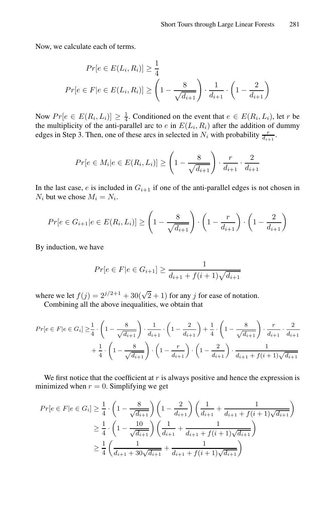Now, we calculate each of terms.

$$
Pr[e \in E(L_i, R_i)] \ge \frac{1}{4}
$$
  

$$
Pr[e \in F | e \in E(L_i, R_i)] \ge \left(1 - \frac{8}{\sqrt{d_{i+1}}}\right) \cdot \frac{1}{d_{i+1}} \cdot \left(1 - \frac{2}{d_{i+1}}\right)
$$

Now  $Pr[e \in E(R_i, L_i)] \geq \frac{1}{4}$ . Conditioned on the event that  $e \in E(R_i, L_i)$ , let r be the multiplicity of the anti-parallel arc to e in  $E(L_i, R_i)$  after the addition of dummy the multiplicity of the anti-parallel arc to e in  $E(L_i, R_i)$  after the addition of dummy edges in Step 3. Then, one of these arcs in selected in  $N_i$  with probability  $\frac{r}{d_{i+1}}$ .

$$
Pr[e \in M_i | e \in E(R_i, L_i)] \ge \left(1 - \frac{8}{\sqrt{d_{i+1}}}\right) \cdot \frac{r}{d_{i+1}} \cdot \frac{2}{d_{i+1}}
$$

In the last case,  $e$  is included in  $G_{i+1}$  if one of the anti-parallel edges is not chosen in  $N_i$  but we chose  $M_i = N_i$ .

$$
Pr[e \in G_{i+1}| e \in E(R_i, L_i)] \ge \left(1 - \frac{8}{\sqrt{d_{i+1}}}\right) \cdot \left(1 - \frac{r}{d_{i+1}}\right) \cdot \left(1 - \frac{2}{d_{i+1}}\right)
$$

By induction, we have

$$
Pr[e \in F | e \in G_{i+1}] \ge \frac{1}{d_{i+1} + f(i+1)\sqrt{d_{i+1}}}
$$

where we let  $f(j) = 2^{j/2+1} + 30(\sqrt{2} + 1)$  for any j for ease of notation.<br>Combining all the above inequalities we obtain that

Combining all the above inequalities, we obtain that

$$
Pr[e \in F | e \in G_i] \ge \frac{1}{4} \cdot \left(1 - \frac{8}{\sqrt{d_{i+1}}}\right) \cdot \frac{1}{d_{i+1}} \cdot \left(1 - \frac{2}{d_{i+1}}\right) + \frac{1}{4} \cdot \left(1 - \frac{8}{\sqrt{d_{i+1}}}\right) \cdot \frac{r}{d_{i+1}} \cdot \frac{2}{d_{i+1}} + \frac{1}{4} \cdot \left(1 - \frac{8}{\sqrt{d_{i+1}}}\right) \cdot \left(1 - \frac{r}{d_{i+1}}\right) \cdot \left(1 - \frac{2}{d_{i+1}}\right) \cdot \frac{1}{d_{i+1} + f(i+1)\sqrt{d_{i+1}}}
$$

We first notice that the coefficient at  $r$  is always positive and hence the expression is minimized when  $r = 0$ . Simplifying we get

$$
Pr[e \in F | e \in G_i] \ge \frac{1}{4} \cdot \left(1 - \frac{8}{\sqrt{d_{i+1}}}\right) \left(1 - \frac{2}{d_{i+1}}\right) \left(\frac{1}{d_{i+1}} + \frac{1}{d_{i+1} + f(i+1)\sqrt{d_{i+1}}}\right)
$$
  

$$
\ge \frac{1}{4} \cdot \left(1 - \frac{10}{\sqrt{d_{i+1}}}\right) \left(\frac{1}{d_{i+1}} + \frac{1}{d_{i+1} + f(i+1)\sqrt{d_{i+1}}}\right)
$$
  

$$
\ge \frac{1}{4} \left(\frac{1}{d_{i+1} + 30\sqrt{d_{i+1}}} + \frac{1}{d_{i+1} + f(i+1)\sqrt{d_{i+1}}}\right)
$$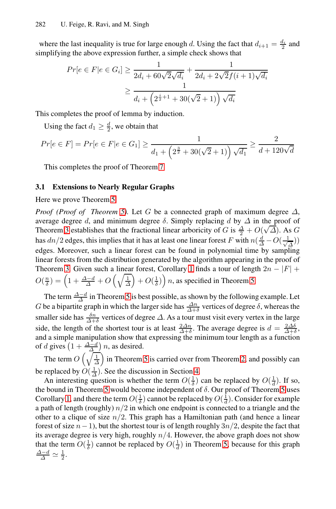<span id="page-9-0"></span>where the last inequality is true for large enough d. Using the fact that  $d_{i+1} = \frac{d_i}{2}$  and implifying the above expression further a simple check shows that simplifying the above expression further, a simple check shows that

$$
Pr[e \in F | e \in G_i] \ge \frac{1}{2d_i + 60\sqrt{2}\sqrt{d_i}} + \frac{1}{2d_i + 2\sqrt{2}f(i+1)\sqrt{d_i}}
$$

$$
\ge \frac{1}{d_i + \left(2^{\frac{i}{2}+1} + 30(\sqrt{2}+1)\right)\sqrt{d_i}}
$$

This completes the proof of lemma by induction.

U[sin](#page-1-2)g the fact  $d_1 \geq \frac{d}{2}$ , we obtain that

$$
Pr[e \in F] = Pr[e \in F | e \in G_1] \ge \frac{1}{d_1 + \left(2^{\frac{3}{2}} + 30(\sqrt{2} + 1)\right)\sqrt{d_1}} \ge \frac{2}{d_1 + 120\sqrt{d}}
$$

This completes the proof of Theorem 7.

### **3.1 Extensions to Nearly Regular Graphs**

#### Here we prove Theorem 5.

*Proof (Proof of Theorem 5).* Let G be a conne[cte](#page-1-2)d graph of maximum degree  $\Delta$ , average degree d, and minimum degree  $\delta$ . Simply replacing d by  $\Delta$  in the proof of Theorem [3](#page-1-2) [e](#page-1-2)stablishes that the fractional linear arboricity of G is  $\frac{\Delta}{2} + O(\sqrt{\Delta})$ . As G has do (2 edges this implies that it has et least one linear forest E with  $n(\frac{d}{d} - O(\frac{1}{n}))$ has  $dn/2$  edges, this implies that it has at least one linear forest F with  $n(\frac{d}{\Delta} - O(\frac{1}{\sqrt{\Delta}}))$ edges. Moreover, such a linear forest can be found in polynomial time by sampling linear forests from the distribution generated by the algorithm appearing in the proof of Theorem 3. Given such a linear forest, Corollary 1 finds a tour of length  $2n - |F|$  +  $O(\frac{n}{\delta}) = \left(1 + \frac{\Delta - d}{\Delta} + O\left(\sqrt{\frac{1}{\Delta}}\right) + O(\frac{1}{\delta})\right)n$ , as specified in Theorem 5.

The term  $\frac{\Delta-d}{\Delta}$  $\frac{\Delta-d}{\Delta}$  $\frac{\Delta-d}{\Delta}$  in Theorem 5 i[s b](#page-10-1)est possible, as shown by the following example. Let G be a bipartite graph in which the larger side has  $\frac{\Delta n}{\Delta + \delta}$  vertices of degree  $\delta$ , whereas the sm[al](#page-1-2)ler side has  $\frac{\delta n}{\Delta + \delta}$  vertices of degree  $\Delta$ . As a tour must vi[sit](#page-1-2) every vertex in the large side, the length of the shortest tour is at least  $\frac{2\Delta n}{\Delta + \delta}$ . The average degree is  $d = \frac{2\Delta \delta}{\Delta + \delta}$ , and a simple manipulation show that expressing the minimum tour length as a function of d gives  $\left(1+\frac{\Delta-d}{\Delta}\right)n$ , as desired.

The term  $O\left(\sqrt{\frac{1}{\Delta}}\right)$  in Theorem 5 is carried over from Theorem 2, and possibly can be replaced by  $O(\frac{1}{2})$ . See the discussion [in](#page-1-2) Section 4.<br>An interesting question is whether the term  $O(\frac{1}{2})$ 

An interesting question is whether the term  $O(\frac{1}{\delta})$  can be replaced by  $O(\frac{1}{d})$ . If so, bound in Theorem 5 would become independent of  $\delta$ . Our proof of Theorem 5 uses the bound in Theorem 5 would become independent of  $\delta$ . Our proof of Theorem 5 uses Corollary 1, and there the term  $O(\frac{1}{\delta})$  cannot be replaced by  $O(\frac{1}{d})$ . Consider for example and the a replaced to a triangle and the a path of length (roughly)  $n/2$  in which one endpoint is connected to a triangle and the other to a clique of size  $n/2$ . This graph has a Hamiltonian path (and hence a linear forest of size  $n-1$ ), but the shortest tour is of length roughly  $3n/2$ , despite the fact that its average degree is very high, roughly  $n/4$ . However, the above graph does not show that the term  $O(\frac{1}{\delta})$  cannot be replaced by  $O(\frac{1}{d})$  in Theorem 5, because for this graph  $\Delta - d_{\text{out}}$  1  $\frac{\Delta-d}{\Delta} \simeq \frac{1}{2}.$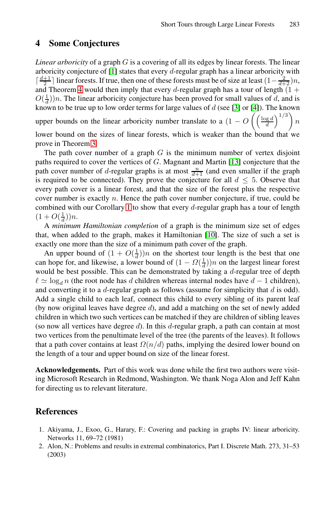## <span id="page-10-1"></span>**4 Some Conjectures**

*Linear arboricity* of a graph G is a covering of all its edges by linear forests. The linear [a](#page-1-0)rboricity conjecture of [1] states that every d-regular graph has a linear arboricity with  $\lceil \frac{d+1}{2} \rceil$  linear forests. If true, then one of these forests must be of size at least  $(1 - \frac{2}{d+2})n$ , and Theorem 4 would then imply that every *d*-regular graph has a tour of length (1 + an[d](#page-11-7) Theorem 4 would then imply that every d-regular graph has a tour of length  $(1 +$  $O(\frac{1}{d})$ n. The linear arboricity conjecture has been proved for small values of d, and is<br>known to be true up to low order terms for large values of d (see [3] or [4]). The known known to be true up to low order terms for large values of  $d$  (see [3] or [4]). The known upper bounds on the linear arboricity number translate to a  $(1 - O\left(\left(\frac{\log d}{d}\right)^{1/3}\right))$ n lower bo[und](#page-3-0) on the sizes of linear forests, which is weaker than the bound that we prove in Theorem 3.

The path cover number of a graph  $G$  is the minimum number of vertex disjoint paths required to cover the vertices [of](#page-11-11) G. Magnant and Martin [13] conjecture that the path cover number of d-regular graphs is at most  $\frac{n}{d+1}$  (and even smaller if the graph<br>is required to be connected). They prove the conjecture for all  $d \leq 5$ . Observe that is required to be connected). They prove the conjecture for all  $d \leq 5$ . Observe that every path cover is a linear forest, and that the size of the forest plus the respective cover number is exactly n. Hence the path cover number conjecture, if true, could be combined with our Corollary 1 to show that every  $d$ -regular graph has a tour of length  $\frac{(1+O(\frac{1}{d}))n}{\Delta \text{ minimum}}$ 

A *minimum Hamiltonian completion* of a graph is the minimum size set of edges that, when added to the graph, makes it Hamiltonian [10]. The size of such a set is exactly one more than the size of a minimum path cover of the graph.

<span id="page-10-0"></span>An upper bound of  $(1 + O(\frac{1}{d}))n$  on the shortest tour length is the best that one<br>therefore and likewise a lower bound of  $(1 - O(\frac{1}{d}))n$  on the largest linear forest can hope for, and likewise, a lower bound of  $(1 - \Omega(\frac{1}{d}))n$  on the largest linear forest<br>would be best possible. This can be demonstrated by taking a d-regular tree of depth would be best possible. This can be demonstrated by taking a d-regular tree of depth  $\ell \simeq \log_d n$  (the root node has d children whereas internal nodes have  $d-1$  children), and converting it to a d-regular graph as follows (assume for simplicity that  $d$  is odd). Add a single child to each leaf, connect this child to every sibling of its parent leaf (by now original leaves have degree d), and add a matching on the set of newly added children in which two such vertices can be matched if they are children of sibling leaves (so now all vertices have degree  $d$ ). In this  $d$ -regular graph, a path can contain at most two vertices from the penultimate level of the tree (the parents of the leaves). It follows that a path cover contains at least  $\Omega(n/d)$  paths, implying the desired lower bound on the length of a tour and upper bound on size of the linear forest.

**Acknowledgements.** Part of this work was done while the first two authors were visiting Microsoft Research in Redmond, Washington. We thank Noga Alon and Jeff Kahn for directing us to relevant literature.

## **References**

- 1. Akiyama, J., Exoo, G., Harary, F.: Covering and packing in graphs IV: linear arboricity. Networks 11, 69–72 (1981)
- 2. Alon, N.: Problems and results in extremal combinatorics, Part I. Discrete Math. 273, 31–53 (2003)